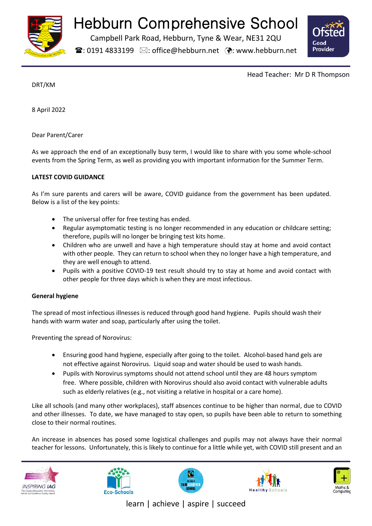

# Hebburn Comprehensive School

Campbell Park Road, Hebburn, Tyne & Wear, NE31 2QU

 $\mathbf{\widehat{a}}$ : 0191 4833199  $\boxtimes$ : office@hebburn.net  $\ddot{\mathbf{\cdot}}$ : www.hebburn.net



Head Teacher: Mr D R Thompson

DRT/KM

8 April 2022

Dear Parent/Carer

As we approach the end of an exceptionally busy term, I would like to share with you some whole-school events from the Spring Term, as well as providing you with important information for the Summer Term.

# **LATEST COVID GUIDANCE**

As I'm sure parents and carers will be aware, COVID guidance from the government has been updated. Below is a list of the key points:

- The universal offer for free testing has ended.
- Regular asymptomatic testing is no longer recommended in any education or childcare setting; therefore, pupils will no longer be bringing test kits home.
- Children who are unwell and have a high temperature should stay at home and avoid contact with other people. They can return to school when they no longer have a high temperature, and they are well enough to attend.
- Pupils with a positive COVID-19 test result should try to stay at home and avoid contact with other people for three days which is when they are most infectious.

# **General hygiene**

The spread of most infectious illnesses is reduced through good hand hygiene. Pupils should wash their hands with warm water and soap, particularly after using the toilet.

Preventing the spread of Norovirus:

- Ensuring good hand hygiene, especially after going to the toilet. Alcohol-based hand gels are not effective against Norovirus. Liquid soap and water should be used to wash hands.
- Pupils with Norovirus symptoms should not attend school until they are 48 hours symptom free. Where possible, children with Norovirus should also avoid contact with vulnerable adults such as elderly relatives (e.g., not visiting a relative in hospital or a care home).

Like all schools (and many other workplaces), staff absences continue to be higher than normal, due to COVID and other illnesses. To date, we have managed to stay open, so pupils have been able to return to something close to their normal routines.

An increase in absences has posed some logistical challenges and pupils may not always have their normal teacher for lessons. Unfortunately, this is likely to continue for a little while yet, with COVID still present and an











learn | achieve | aspire | succeed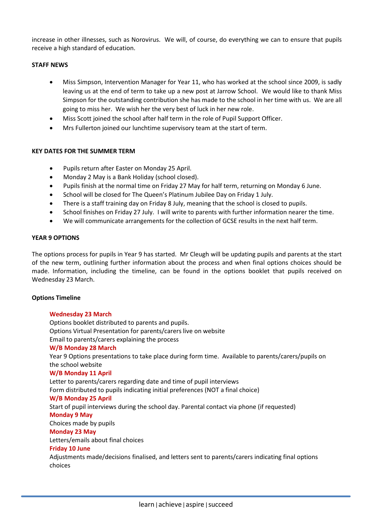increase in other illnesses, such as Norovirus. We will, of course, do everything we can to ensure that pupils receive a high standard of education.

## **STAFF NEWS**

- Miss Simpson, Intervention Manager for Year 11, who has worked at the school since 2009, is sadly leaving us at the end of term to take up a new post at Jarrow School. We would like to thank Miss Simpson for the outstanding contribution she has made to the school in her time with us. We are all going to miss her. We wish her the very best of luck in her new role.
- Miss Scott joined the school after half term in the role of Pupil Support Officer.
- Mrs Fullerton joined our lunchtime supervisory team at the start of term.

## **KEY DATES FOR THE SUMMER TERM**

- Pupils return after Easter on Monday 25 April.
- Monday 2 May is a Bank Holiday (school closed).
- Pupils finish at the normal time on Friday 27 May for half term, returning on Monday 6 June.
- School will be closed for The Queen's Platinum Jubilee Day on Friday 1 July.
- There is a staff training day on Friday 8 July, meaning that the school is closed to pupils.
- School finishes on Friday 27 July. I will write to parents with further information nearer the time.
- We will communicate arrangements for the collection of GCSE results in the next half term.

#### **YEAR 9 OPTIONS**

The options process for pupils in Year 9 has started. Mr Cleugh will be updating pupils and parents at the start of the new term, outlining further information about the process and when final options choices should be made. Information, including the timeline, can be found in the options booklet that pupils received on Wednesday 23 March.

#### **Options Timeline**

#### **Wednesday 23 March**

Options booklet distributed to parents and pupils. Options Virtual Presentation for parents/carers live on website Email to parents/carers explaining the process **W/B Monday 28 March** Year 9 Options presentations to take place during form time. Available to parents/carers/pupils on the school website **W/B Monday 11 April** Letter to parents/carers regarding date and time of pupil interviews Form distributed to pupils indicating initial preferences (NOT a final choice) **W/B Monday 25 April** Start of pupil interviews during the school day. Parental contact via phone (if requested) **Monday 9 May** Choices made by pupils **Monday 23 May** Letters/emails about final choices **Friday 10 June**  Adjustments made/decisions finalised, and letters sent to parents/carers indicating final options

choices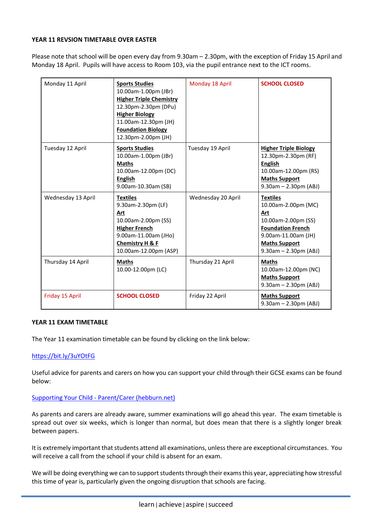#### **YEAR 11 REVSION TIMETABLE OVER EASTER**

Please note that school will be open every day from 9.30am – 2.30pm, with the exception of Friday 15 April and Monday 18 April. Pupils will have access to Room 103, via the pupil entrance next to the ICT rooms.

| Monday 11 April    | <b>Sports Studies</b><br>10.00am-1.00pm (JBr)<br><b>Higher Triple Chemistry</b><br>12.30pm-2.30pm (DPu)<br><b>Higher Biology</b><br>11.00am-12.30pm (JH)<br><b>Foundation Biology</b><br>12.30pm-2.00pm (JH) | Monday 18 April    | <b>SCHOOL CLOSED</b>                                                                                                                                                       |
|--------------------|--------------------------------------------------------------------------------------------------------------------------------------------------------------------------------------------------------------|--------------------|----------------------------------------------------------------------------------------------------------------------------------------------------------------------------|
| Tuesday 12 April   | <b>Sports Studies</b><br>10.00am-1.00pm (JBr)<br><b>Maths</b><br>10.00am-12.00pm (DC)<br><b>English</b><br>9.00am-10.30am (SB)                                                                               | Tuesday 19 April   | <b>Higher Triple Biology</b><br>12.30pm-2.30pm (RF)<br><b>English</b><br>10.00am-12.00pm (RS)<br><b>Maths Support</b><br>$9.30am - 2.30pm (ABJ)$                           |
| Wednesday 13 April | <b>Textiles</b><br>9.30am-2.30pm (LF)<br>Art<br>10.00am-2.00pm (SS)<br><b>Higher French</b><br>9.00am-11.00am (JHo)<br>Chemistry H & F<br>10.00am-12.00pm (ASP)                                              | Wednesday 20 April | <b>Textiles</b><br>10.00am-2.00pm (MC)<br>Art<br>10.00am-2.00pm (SS)<br><b>Foundation French</b><br>9.00am-11.00am (JH)<br><b>Maths Support</b><br>$9.30am - 2.30pm (ABJ)$ |
| Thursday 14 April  | <b>Maths</b><br>10.00-12.00pm (LC)                                                                                                                                                                           | Thursday 21 April  | <b>Maths</b><br>10.00am-12.00pm (NC)<br><b>Maths Support</b><br>$9.30am - 2.30pm (ABJ)$                                                                                    |
| Friday 15 April    | <b>SCHOOL CLOSED</b>                                                                                                                                                                                         | Friday 22 April    | <b>Maths Support</b><br>$9.30am - 2.30pm (ABJ)$                                                                                                                            |

#### **YEAR 11 EXAM TIMETABLE**

The Year 11 examination timetable can be found by clicking on the link below:

#### <https://bit.ly/3uYOtFG>

Useful advice for parents and carers on how you can support your child through their GCSE exams can be found below:

#### Supporting Your Child - [Parent/Carer \(hebburn.net\)](https://www.hebburn.net/wp-content/uploads/2022/03/Supporting-Your-Child-Parents-and-Carers_Email.pdf)

As parents and carers are already aware, summer examinations will go ahead this year. The exam timetable is spread out over six weeks, which is longer than normal, but does mean that there is a slightly longer break between papers.

It is extremely important that students attend all examinations, unless there are exceptional circumstances. You will receive a call from the school if your child is absent for an exam.

We will be doing everything we can to support students through their exams this year, appreciating how stressful this time of year is, particularly given the ongoing disruption that schools are facing.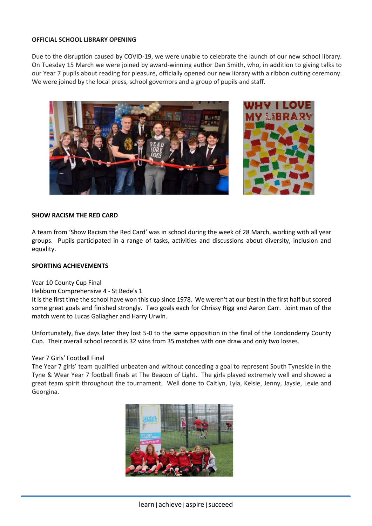#### **OFFICIAL SCHOOL LIBRARY OPENING**

Due to the disruption caused by COVID-19, we were unable to celebrate the launch of our new school library. On Tuesday 15 March we were joined by award-winning author Dan Smith, who, in addition to giving talks to our Year 7 pupils about reading for pleasure, officially opened our new library with a ribbon cutting ceremony. We were joined by the local press, school governors and a group of pupils and staff.



#### **SHOW RACISM THE RED CARD**

A team from 'Show Racism the Red Card' was in school during the week of 28 March, working with all year groups. Pupils participated in a range of tasks, activities and discussions about diversity, inclusion and equality.

#### **SPORTING ACHIEVEMENTS**

#### Year 10 County Cup Final

#### Hebburn Comprehensive 4 - St Bede's 1

It is the first time the school have won this cup since 1978. We weren't at our best in the first half but scored some great goals and finished strongly. Two goals each for Chrissy Rigg and Aaron Carr. Joint man of the match went to Lucas Gallagher and Harry Urwin.

Unfortunately, five days later they lost 5-0 to the same opposition in the final of the Londonderry County Cup. Their overall school record is 32 wins from 35 matches with one draw and only two losses.

#### Year 7 Girls' Football Final

The Year 7 girls' team qualified unbeaten and without conceding a goal to represent South Tyneside in the Tyne & Wear Year 7 football finals at The Beacon of Light. The girls played extremely well and showed a great team spirit throughout the tournament. Well done to Caitlyn, Lyla, Kelsie, Jenny, Jaysie, Lexie and Georgina.

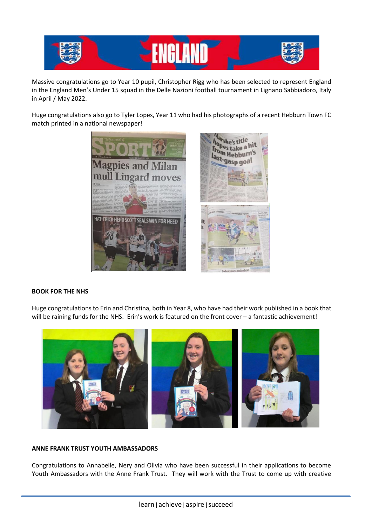

Massive congratulations go to Year 10 pupil, Christopher Rigg who has been selected to represent England in the England Men's Under 15 squad in the Delle Nazioni football tournament in Lignano Sabbiadoro, Italy in April / May 2022.

Huge congratulations also go to Tyler Lopes, Year 11 who had his photographs of a recent Hebburn Town FC match printed in a national newspaper!



## **BOOK FOR THE NHS**

Huge congratulations to Erin and Christina, both in Year 8, who have had their work published in a book that will be raining funds for the NHS. Erin's work is featured on the front cover - a fantastic achievement!



#### **ANNE FRANK TRUST YOUTH AMBASSADORS**

Congratulations to Annabelle, Nery and Olivia who have been successful in their applications to become Youth Ambassadors with the Anne Frank Trust. They will work with the Trust to come up with creative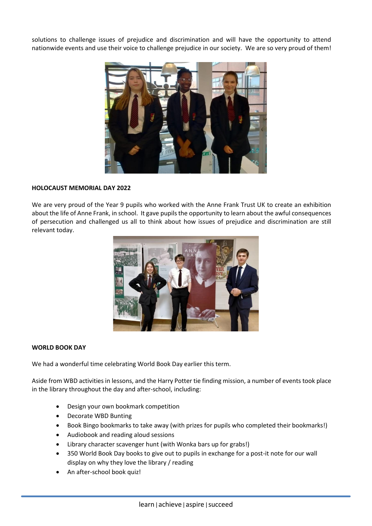solutions to challenge issues of prejudice and discrimination and will have the opportunity to attend nationwide events and use their voice to challenge prejudice in our society. We are so very proud of them!



#### **HOLOCAUST MEMORIAL DAY 2022**

We are very proud of the Year 9 pupils who worked with the Anne Frank Trust UK to create an exhibition about the life of Anne Frank, in school. It gave pupils the opportunity to learn about the awful consequences of persecution and challenged us all to think about how issues of prejudice and discrimination are still relevant today.



#### **WORLD BOOK DAY**

We had a wonderful time celebrating World Book Day earlier this term.

Aside from WBD activities in lessons, and the Harry Potter tie finding mission, a number of events took place in the library throughout the day and after-school, including:

- Design your own bookmark competition
- Decorate WBD Bunting
- Book Bingo bookmarks to take away (with prizes for pupils who completed their bookmarks!)
- Audiobook and reading aloud sessions
- Library character scavenger hunt (with Wonka bars up for grabs!)
- 350 World Book Day books to give out to pupils in exchange for a post-it note for our wall display on why they love the library / reading
- An after-school book quiz!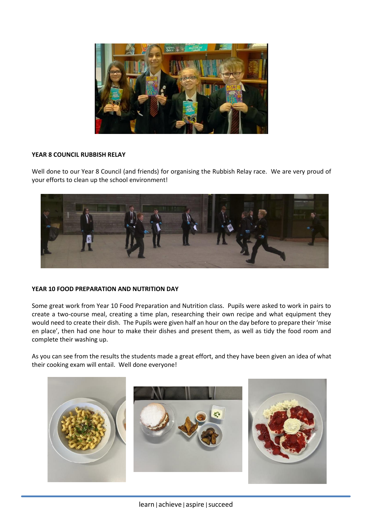

## **YEAR 8 COUNCIL RUBBISH RELAY**

Well done to our Year 8 Council (and friends) for organising the Rubbish Relay race. We are very proud of your efforts to clean up the school environment!



# **YEAR 10 FOOD PREPARATION AND NUTRITION DAY**

Some great work from Year 10 Food Preparation and Nutrition class. Pupils were asked to work in pairs to create a two-course meal, creating a time plan, researching their own recipe and what equipment they would need to create their dish. The Pupils were given half an hour on the day before to prepare their 'mise en place', then had one hour to make their dishes and present them, as well as tidy the food room and complete their washing up.

As you can see from the results the students made a great effort, and they have been given an idea of what their cooking exam will entail. Well done everyone!

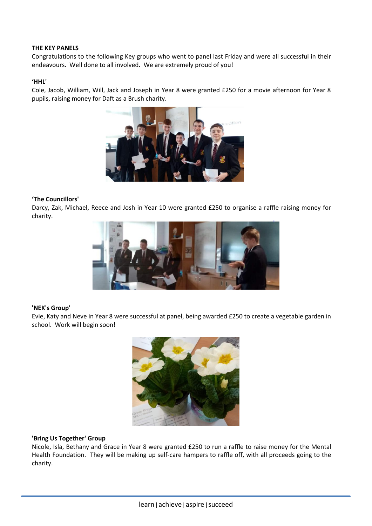#### **THE KEY PANELS**

Congratulations to the following Key groups who went to panel last Friday and were all successful in their endeavours. Well done to all involved. We are extremely proud of you!

#### **'HHL'**

Cole, Jacob, William, Will, Jack and Joseph in Year 8 were granted £250 for a movie afternoon for Year 8 pupils, raising money for Daft as a Brush charity.



#### **'The Councillors'**

Darcy, Zak, Michael, Reece and Josh in Year 10 were granted £250 to organise a raffle raising money for charity.



#### **'NEK's Group'**

Evie, Katy and Neve in Year 8 were successful at panel, being awarded £250 to create a vegetable garden in school. Work will begin soon!



#### **'Bring Us Together' Group**

Nicole, Isla, Bethany and Grace in Year 8 were granted £250 to run a raffle to raise money for the Mental Health Foundation. They will be making up self-care hampers to raffle off, with all proceeds going to the charity.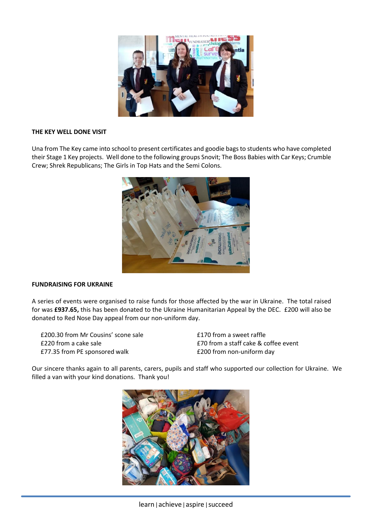

#### **THE KEY WELL DONE VISIT**

Una from The Key came into school to present certificates and goodie bags to students who have completed their Stage 1 Key projects. Well done to the following groups Snovit; The Boss Babies with Car Keys; Crumble Crew; Shrek Republicans; The Girls in Top Hats and the Semi Colons.



#### **FUNDRAISING FOR UKRAINE**

A series of events were organised to raise funds for those affected by the war in Ukraine. The total raised for was **£937.65,** this has been donated to the Ukraine Humanitarian Appeal by the DEC. £200 will also be donated to Red Nose Day appeal from our non-uniform day.

£200.30 from Mr Cousins' scone sale £220 from a cake sale £77.35 from PE sponsored walk

£170 from a sweet raffle £70 from a staff cake & coffee event £200 from non-uniform day

Our sincere thanks again to all parents, carers, pupils and staff who supported our collection for Ukraine. We filled a van with your kind donations. Thank you!